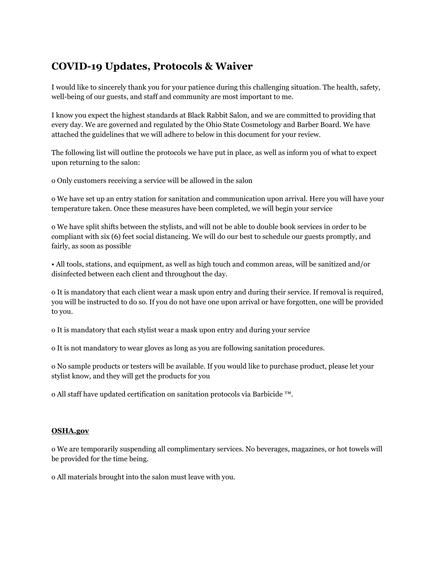# **COVID-19 Updates, Protocols & Waiver**

I would like to sincerely thank you for your patience during this challenging situation. The health, safety, well-being of our guests, and staff and community are most important to me.

I know you expect the highest standards at Black Rabbit Salon, and we are committed to providing that every day. We are governed and regulated by the Ohio State Cosmetology and Barber Board. We have attached the guidelines that we will adhere to below in this document for your review.

The following list will outline the protocols we have put in place, as well as inform you of what to expect upon returning to the salon:

o Only customers receiving a service will be allowed in the salon

o We have set up an entry station for sanitation and communication upon arrival. Here you will have your temperature taken. Once these measures have been completed, we will begin your service

o We have split shifts between the stylists, and will not be able to double book services in order to be compliant with six (6) feet social distancing. We will do our best to schedule our guests promptly, and fairly, as soon as possible

• All tools, stations, and equipment, as well as high touch and common areas, will be sanitized and/or disinfected between each client and throughout the day.

o It is mandatory that each client wear a mask upon entry and during their service. If removal is required, you will be instructed to do so. If you do not have one upon arrival or have forgotten, one will be provided to you.

o It is mandatory that each stylist wear a mask upon entry and during your service

o It is not mandatory to wear gloves as long as you are following sanitation procedures.

o No sample products or testers will be available. If you would like to purchase product, please let your stylist know, and they will get the products for you

o All staff have updated certification on sanitation protocols via Barbicide ™.

#### **OSHA.gov**

o We are temporarily suspending all complimentary services. No beverages, magazines, or hot towels will be provided for the time being.

o All materials brought into the salon must leave with you.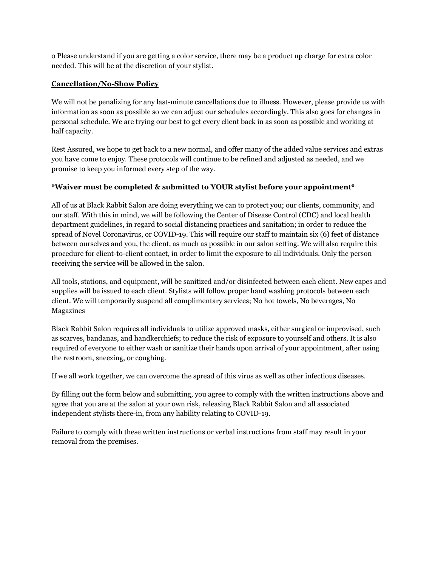o Please understand if you are getting a color service, there may be a product up charge for extra color needed. This will be at the discretion of your stylist.

### **Cancellation/No-Show Policy**

We will not be penalizing for any last-minute cancellations due to illness. However, please provide us with information as soon as possible so we can adjust our schedules accordingly. This also goes for changes in personal schedule. We are trying our best to get every client back in as soon as possible and working at half capacity.

Rest Assured, we hope to get back to a new normal, and offer many of the added value services and extras you have come to enjoy. These protocols will continue to be refined and adjusted as needed, and we promise to keep you informed every step of the way.

## \***Waiver must be completed & submitted to YOUR stylist before your appointment\***

All of us at Black Rabbit Salon are doing everything we can to protect you; our clients, community, and our staff. With this in mind, we will be following the Center of Disease Control (CDC) and local health department guidelines, in regard to social distancing practices and sanitation; in order to reduce the spread of Novel Coronavirus, or COVID-19. This will require our staff to maintain six (6) feet of distance between ourselves and you, the client, as much as possible in our salon setting. We will also require this procedure for client-to-client contact, in order to limit the exposure to all individuals. Only the person receiving the service will be allowed in the salon.

All tools, stations, and equipment, will be sanitized and/or disinfected between each client. New capes and supplies will be issued to each client. Stylists will follow proper hand washing protocols between each client. We will temporarily suspend all complimentary services; No hot towels, No beverages, No Magazines

Black Rabbit Salon requires all individuals to utilize approved masks, either surgical or improvised, such as scarves, bandanas, and handkerchiefs; to reduce the risk of exposure to yourself and others. It is also required of everyone to either wash or sanitize their hands upon arrival of your appointment, after using the restroom, sneezing, or coughing.

If we all work together, we can overcome the spread of this virus as well as other infectious diseases.

By filling out the form below and submitting, you agree to comply with the written instructions above and agree that you are at the salon at your own risk, releasing Black Rabbit Salon and all associated independent stylists there-in, from any liability relating to COVID-19.

Failure to comply with these written instructions or verbal instructions from staff may result in your removal from the premises.